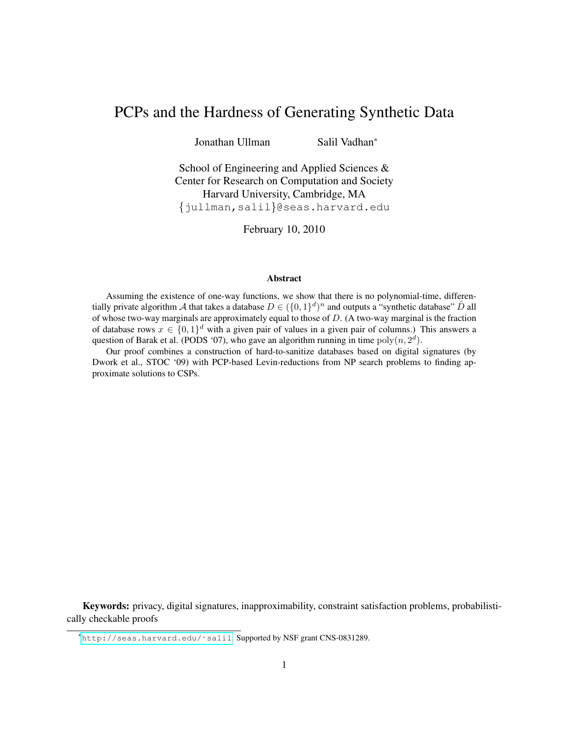# PCPs and the Hardness of Generating Synthetic Data

Jonathan Ullman Salil Vadhan<sup>∗</sup>

School of Engineering and Applied Sciences & Center for Research on Computation and Society Harvard University, Cambridge, MA {jullman,salil}@seas.harvard.edu

February 10, 2010

#### Abstract

Assuming the existence of one-way functions, we show that there is no polynomial-time, differentially private algorithm A that takes a database  $D \in (\{0,1\}^d)^n$  and outputs a "synthetic database"  $\hat{D}$  all of whose two-way marginals are approximately equal to those of  $D$ . (A two-way marginal is the fraction of database rows  $x \in \{0,1\}^d$  with a given pair of values in a given pair of columns.) This answers a question of Barak et al. (PODS '07), who gave an algorithm running in time  $poly(n, 2<sup>d</sup>)$ .

Our proof combines a construction of hard-to-sanitize databases based on digital signatures (by Dwork et al., STOC '09) with PCP-based Levin-reductions from NP search problems to finding approximate solutions to CSPs.

Keywords: privacy, digital signatures, inapproximability, constraint satisfaction problems, probabilistically checkable proofs

<sup>∗</sup>[http://seas.harvard.edu/˜salil](http://seas.harvard.edu/~salil). Supported by NSF grant CNS-0831289.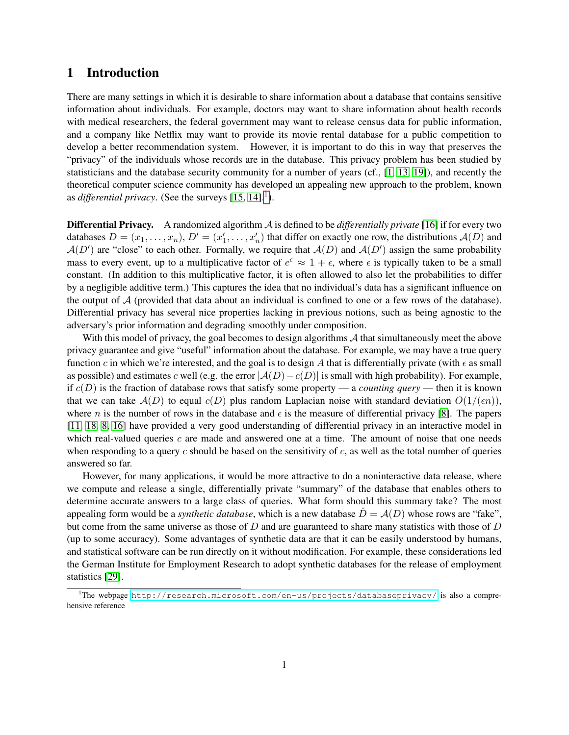# 1 Introduction

There are many settings in which it is desirable to share information about a database that contains sensitive information about individuals. For example, doctors may want to share information about health records with medical researchers, the federal government may want to release census data for public information, and a company like Netflix may want to provide its movie rental database for a public competition to develop a better recommendation system. However, it is important to do this in way that preserves the "privacy" of the individuals whose records are in the database. This privacy problem has been studied by statisticians and the database security community for a number of years (cf., [\[1,](#page-11-0) [13,](#page-11-1) [19\]](#page-12-0)), and recently the theoretical computer science community has developed an appealing new approach to the problem, known as *differential privacy*. (See the surveys  $[15, 14]$  $[15, 14]$ .<sup>[1](#page-1-0)</sup>).

Differential Privacy. A randomized algorithm A is defined to be *differentially private* [\[16\]](#page-12-2) if for every two databases  $D = (x_1, \ldots, x_n)$ ,  $D' = (x'_1, \ldots, x'_n)$  that differ on exactly one row, the distributions  $A(D)$  and  $\mathcal{A}(D')$  are "close" to each other. Formally, we require that  $\mathcal{A}(D)$  and  $\mathcal{A}(D')$  assign the same probability mass to every event, up to a multiplicative factor of  $e^{\epsilon} \approx 1 + \epsilon$ , where  $\epsilon$  is typically taken to be a small constant. (In addition to this multiplicative factor, it is often allowed to also let the probabilities to differ by a negligible additive term.) This captures the idea that no individual's data has a significant influence on the output of  $A$  (provided that data about an individual is confined to one or a few rows of the database). Differential privacy has several nice properties lacking in previous notions, such as being agnostic to the adversary's prior information and degrading smoothly under composition.

With this model of privacy, the goal becomes to design algorithms  $A$  that simultaneously meet the above privacy guarantee and give "useful" information about the database. For example, we may have a true query function c in which we're interested, and the goal is to design A that is differentially private (with  $\epsilon$  as small as possible) and estimates c well (e.g. the error  $|A(D)-c(D)|$  is small with high probability). For example, if  $c(D)$  is the fraction of database rows that satisfy some property — a *counting query* — then it is known that we can take  $A(D)$  to equal  $c(D)$  plus random Laplacian noise with standard deviation  $O(1/(\epsilon n))$ , where n is the number of rows in the database and  $\epsilon$  is the measure of differential privacy [\[8\]](#page-11-3). The papers [\[11,](#page-11-4) [18,](#page-12-3) [8,](#page-11-3) [16\]](#page-12-2) have provided a very good understanding of differential privacy in an interactive model in which real-valued queries  $c$  are made and answered one at a time. The amount of noise that one needs when responding to a query c should be based on the sensitivity of c, as well as the total number of queries answered so far.

However, for many applications, it would be more attractive to do a noninteractive data release, where we compute and release a single, differentially private "summary" of the database that enables others to determine accurate answers to a large class of queries. What form should this summary take? The most appealing form would be a *synthetic database*, which is a new database  $\hat{D} = A(D)$  whose rows are "fake", but come from the same universe as those of  $D$  and are guaranteed to share many statistics with those of  $D$ (up to some accuracy). Some advantages of synthetic data are that it can be easily understood by humans, and statistical software can be run directly on it without modification. For example, these considerations led the German Institute for Employment Research to adopt synthetic databases for the release of employment statistics [\[29\]](#page-12-4).

<span id="page-1-0"></span><sup>&</sup>lt;sup>1</sup>The webpage <http://research.microsoft.com/en-us/projects/databaseprivacy/> is also a comprehensive reference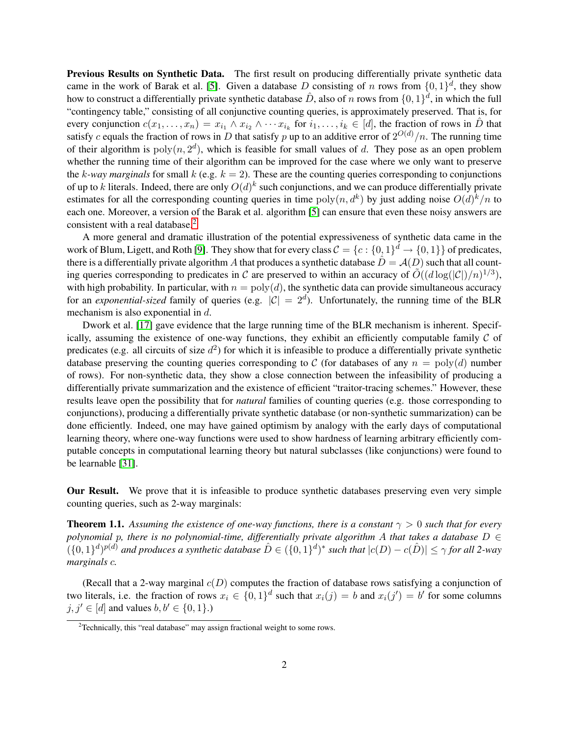Previous Results on Synthetic Data. The first result on producing differentially private synthetic data came in the work of Barak et al. [\[5\]](#page-11-5). Given a database D consisting of n rows from  $\{0,1\}^d$ , they show how to construct a differentially private synthetic database  $\hat{D}$ , also of n rows from  $\{0,1\}^d$ , in which the full "contingency table," consisting of all conjunctive counting queries, is approximately preserved. That is, for every conjunction  $c(x_1, \ldots, x_n) = x_{i_1} \wedge x_{i_2} \wedge \cdots x_{i_k}$  for  $i_1, \ldots, i_k \in [d]$ , the fraction of rows in  $\hat{D}$  that satisfy c equals the fraction of rows in D that satisfy p up to an additive error of  $2^{O(d)}/n$ . The running time of their algorithm is  $poly(n, 2^d)$ , which is feasible for small values of d. They pose as an open problem whether the running time of their algorithm can be improved for the case where we only want to preserve the k-way marginals for small k (e.g.  $k = 2$ ). These are the counting queries corresponding to conjunctions of up to k literals. Indeed, there are only  $O(d)^k$  such conjunctions, and we can produce differentially private estimates for all the corresponding counting queries in time  $poly(n, d^k)$  by just adding noise  $O(d)^k/n$  to each one. Moreover, a version of the Barak et al. algorithm [\[5\]](#page-11-5) can ensure that even these noisy answers are consistent with a real database.<sup>[2](#page-2-0)</sup>

A more general and dramatic illustration of the potential expressiveness of synthetic data came in the work of Blum, Ligett, and Roth [\[9\]](#page-11-6). They show that for every class  $C = \{c : \{0,1\}^d \to \{0,1\}\}\$  of predicates, there is a differentially private algorithm A that produces a synthetic database  $\hat{D} = A(D)$  such that all counting queries corresponding to predicates in C are preserved to within an accuracy of  $\tilde{O}((d \log(|\mathcal{C}|)/n)^{1/3})$ , with high probability. In particular, with  $n = \text{poly}(d)$ , the synthetic data can provide simultaneous accuracy for an *exponential-sized* family of queries (e.g.  $|\mathcal{C}| = 2^d$ ). Unfortunately, the running time of the BLR mechanism is also exponential in d.

Dwork et al. [\[17\]](#page-12-5) gave evidence that the large running time of the BLR mechanism is inherent. Specifically, assuming the existence of one-way functions, they exhibit an efficiently computable family  $\mathcal C$  of predicates (e.g. all circuits of size  $d^2$ ) for which it is infeasible to produce a differentially private synthetic database preserving the counting queries corresponding to C (for databases of any  $n = \text{poly}(d)$  number of rows). For non-synthetic data, they show a close connection between the infeasibility of producing a differentially private summarization and the existence of efficient "traitor-tracing schemes." However, these results leave open the possibility that for *natural* families of counting queries (e.g. those corresponding to conjunctions), producing a differentially private synthetic database (or non-synthetic summarization) can be done efficiently. Indeed, one may have gained optimism by analogy with the early days of computational learning theory, where one-way functions were used to show hardness of learning arbitrary efficiently computable concepts in computational learning theory but natural subclasses (like conjunctions) were found to be learnable [\[31\]](#page-12-6).

Our Result. We prove that it is infeasible to produce synthetic databases preserving even very simple counting queries, such as 2-way marginals:

<span id="page-2-1"></span>**Theorem 1.1.** Assuming the existence of one-way functions, there is a constant  $\gamma > 0$  such that for every *polynomial* p*, there is no polynomial-time, differentially private algorithm* A *that takes a database* D ∈  $(\{0,1\}^d)^{p(d)}$  and produces a synthetic database  $\hat{D} \in (\{0,1\}^d)^*$  such that  $|c(D) - c(\hat{D})| \leq \gamma$  for all 2-way *marginals* c*.*

(Recall that a 2-way marginal  $c(D)$  computes the fraction of database rows satisfying a conjunction of two literals, i.e. the fraction of rows  $x_i \in \{0,1\}^d$  such that  $x_i(j) = b$  and  $x_i(j') = b'$  for some columns  $j, j' \in [d]$  and values  $b, b' \in \{0, 1\}$ .)

<span id="page-2-0"></span><sup>&</sup>lt;sup>2</sup>Technically, this "real database" may assign fractional weight to some rows.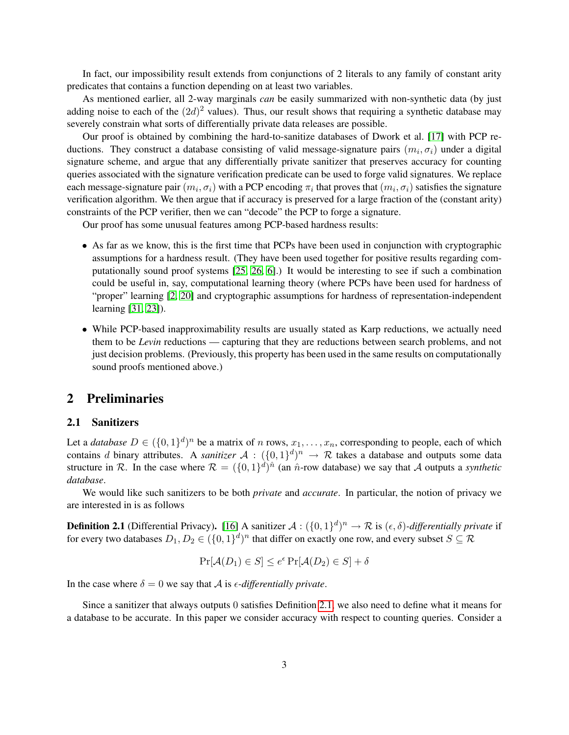In fact, our impossibility result extends from conjunctions of 2 literals to any family of constant arity predicates that contains a function depending on at least two variables.

As mentioned earlier, all 2-way marginals *can* be easily summarized with non-synthetic data (by just adding noise to each of the  $(2d)^2$  values). Thus, our result shows that requiring a synthetic database may severely constrain what sorts of differentially private data releases are possible.

Our proof is obtained by combining the hard-to-sanitize databases of Dwork et al. [\[17\]](#page-12-5) with PCP reductions. They construct a database consisting of valid message-signature pairs  $(m_i, \sigma_i)$  under a digital signature scheme, and argue that any differentially private sanitizer that preserves accuracy for counting queries associated with the signature verification predicate can be used to forge valid signatures. We replace each message-signature pair  $(m_i, \sigma_i)$  with a PCP encoding  $\pi_i$  that proves that  $(m_i, \sigma_i)$  satisfies the signature verification algorithm. We then argue that if accuracy is preserved for a large fraction of the (constant arity) constraints of the PCP verifier, then we can "decode" the PCP to forge a signature.

Our proof has some unusual features among PCP-based hardness results:

- As far as we know, this is the first time that PCPs have been used in conjunction with cryptographic assumptions for a hardness result. (They have been used together for positive results regarding computationally sound proof systems [\[25,](#page-12-7) [26,](#page-12-8) [6\]](#page-11-7).) It would be interesting to see if such a combination could be useful in, say, computational learning theory (where PCPs have been used for hardness of "proper" learning [\[2,](#page-11-8) [20\]](#page-12-9) and cryptographic assumptions for hardness of representation-independent learning [\[31,](#page-12-6) [23\]](#page-12-10)).
- While PCP-based inapproximability results are usually stated as Karp reductions, we actually need them to be *Levin* reductions — capturing that they are reductions between search problems, and not just decision problems. (Previously, this property has been used in the same results on computationally sound proofs mentioned above.)

# 2 Preliminaries

#### 2.1 Sanitizers

Let a *database*  $D \in (\{0,1\}^d)^n$  be a matrix of n rows,  $x_1, \ldots, x_n$ , corresponding to people, each of which contains d binary attributes. A *sanitizer*  $A : (\{0,1\}^d)^n \to \mathcal{R}$  takes a database and outputs some data structure in R. In the case where  $\mathcal{R} = (\{0,1\}^d)^{\hat{n}}$  (an  $\hat{n}$ -row database) we say that A outputs a *synthetic database*.

We would like such sanitizers to be both *private* and *accurate*. In particular, the notion of privacy we are interested in is as follows

<span id="page-3-0"></span>**Definition 2.1** (Differential Privacy). [\[16\]](#page-12-2) A sanitizer  $A: (\{0,1\}^d)^n \to \mathcal{R}$  is  $(\epsilon, \delta)$ -differentially private if for every two databases  $D_1,D_2\in(\{0,1\}^d)^n$  that differ on exactly one row, and every subset  $S\subseteq \mathcal{R}$ 

$$
\Pr[\mathcal{A}(D_1) \in S] \le e^{\epsilon} \Pr[\mathcal{A}(D_2) \in S] + \delta
$$

In the case where  $\delta = 0$  we say that A is  $\epsilon$ -differentially private.

Since a sanitizer that always outputs 0 satisfies Definition [2.1,](#page-3-0) we also need to define what it means for a database to be accurate. In this paper we consider accuracy with respect to counting queries. Consider a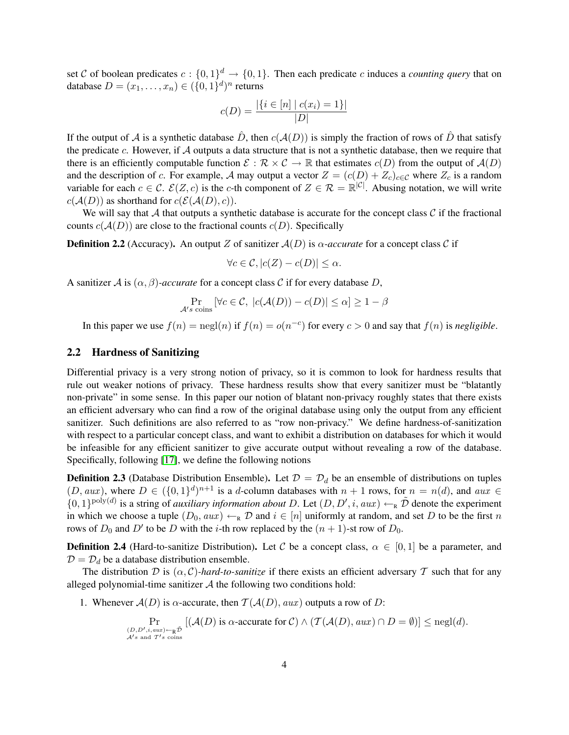set C of boolean predicates  $c: \{0,1\}^d \to \{0,1\}$ . Then each predicate c induces a *counting query* that on database  $D = (x_1, \ldots, x_n) \in (\{0, 1\}^d)^n$  returns

$$
c(D) = \frac{|\{i \in [n] \mid c(x_i) = 1\}|}{|D|}
$$

If the output of A is a synthetic database  $\hat{D}$ , then  $c(\mathcal{A}(D))$  is simply the fraction of rows of  $\hat{D}$  that satisfy the predicate c. However, if  $A$  outputs a data structure that is not a synthetic database, then we require that there is an efficiently computable function  $\mathcal{E}: \mathcal{R} \times \mathcal{C} \to \mathbb{R}$  that estimates  $c(D)$  from the output of  $\mathcal{A}(D)$ and the description of c. For example, A may output a vector  $Z = (c(D) + Z_c)_{c \in \mathcal{C}}$  where  $Z_c$  is a random variable for each  $c \in \mathcal{C}$ .  $\mathcal{E}(Z, c)$  is the c-th component of  $Z \in \mathcal{R} = \mathbb{R}^{|\mathcal{C}|}$ . Abusing notation, we will write  $c(\mathcal{A}(D))$  as shorthand for  $c(\mathcal{E}(\mathcal{A}(D), c))$ .

We will say that  $A$  that outputs a synthetic database is accurate for the concept class  $C$  if the fractional counts  $c(A(D))$  are close to the fractional counts  $c(D)$ . Specifically

**Definition 2.2** (Accuracy). An output Z of sanitizer  $A(D)$  is  $\alpha$ -accurate for a concept class C if

$$
\forall c \in \mathcal{C}, |c(Z) - c(D)| \le \alpha.
$$

A sanitizer A is  $(\alpha, \beta)$ *-accurate* for a concept class C if for every database D,

$$
\Pr_{\mathcal{A}'s \text{ coins}} \left[ \forall c \in \mathcal{C}, \ |c(\mathcal{A}(D)) - c(D)| \leq \alpha \right] \geq 1 - \beta
$$

In this paper we use  $f(n) = \text{negl}(n)$  if  $f(n) = o(n^{-c})$  for every  $c > 0$  and say that  $f(n)$  is *negligible*.

#### 2.2 Hardness of Sanitizing

Differential privacy is a very strong notion of privacy, so it is common to look for hardness results that rule out weaker notions of privacy. These hardness results show that every sanitizer must be "blatantly non-private" in some sense. In this paper our notion of blatant non-privacy roughly states that there exists an efficient adversary who can find a row of the original database using only the output from any efficient sanitizer. Such definitions are also referred to as "row non-privacy." We define hardness-of-sanitization with respect to a particular concept class, and want to exhibit a distribution on databases for which it would be infeasible for any efficient sanitizer to give accurate output without revealing a row of the database. Specifically, following [\[17\]](#page-12-5), we define the following notions

**Definition 2.3** (Database Distribution Ensemble). Let  $\mathcal{D} = \mathcal{D}_d$  be an ensemble of distributions on tuples  $(D, aux)$ , where  $D \in (\{0, 1\}^d)^{n+1}$  is a d-column databases with  $n + 1$  rows, for  $n = n(d)$ , and  $aux \in$  $\{0,1\}^{\text{poly}(d)}$  is a string of *auxiliary information about* D. Let  $(D, D', i, aux) \leftarrow_R \tilde{D}$  denote the experiment in which we choose a tuple  $(D_0, aux) \leftarrow_R \mathcal{D}$  and  $i \in [n]$  uniformly at random, and set D to be the first n rows of  $D_0$  and  $D'$  to be D with the *i*-th row replaced by the  $(n + 1)$ -st row of  $D_0$ .

<span id="page-4-0"></span>**Definition 2.4** (Hard-to-sanitize Distribution). Let C be a concept class,  $\alpha \in [0,1]$  be a parameter, and  $D = D_d$  be a database distribution ensemble.

The distribution D is  $(\alpha, C)$ *-hard-to-sanitize* if there exists an efficient adversary T such that for any alleged polynomial-time sanitizer  $A$  the following two conditions hold:

1. Whenever  $A(D)$  is  $\alpha$ -accurate, then  $\mathcal{T}(A(D), aux)$  outputs a row of D:

$$
\Pr_{(D, D', i, aux) \leftarrow_R \tilde{D} \atop \mathcal{A}'s \text{ and } T's \text{ coins}} [(\mathcal{A}(D) \text{ is a accurate for } C) \land (\mathcal{T}(\mathcal{A}(D), aux) \cap D = \emptyset)] \leq \text{negl}(d).
$$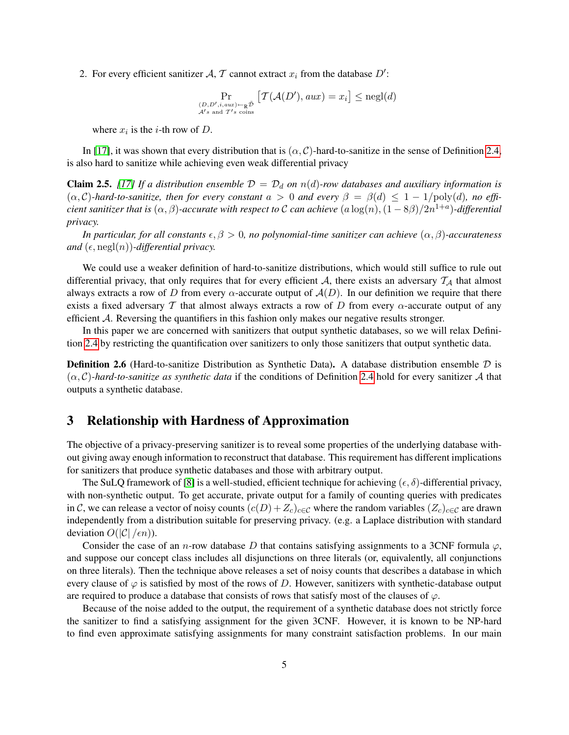2. For every efficient sanitizer A, T cannot extract  $x_i$  from the database  $D'$ :

$$
\Pr_{\substack{(D, D', i, aux) \leftarrow_R \tilde{\mathcal{D}} \\ \mathcal{A}'s \text{ and } T's \text{ coins}}} \left[ \mathcal{T}(\mathcal{A}(D'), aux) = x_i \right] \leq \text{negl}(d)
$$

where  $x_i$  is the *i*-th row of D.

In [\[17\]](#page-12-5), it was shown that every distribution that is  $(\alpha, C)$ -hard-to-sanitize in the sense of Definition [2.4,](#page-4-0) is also hard to sanitize while achieving even weak differential privacy

**Claim 2.5.** [\[17\]](#page-12-5) If a distribution ensemble  $\mathcal{D} = \mathcal{D}_d$  on  $n(d)$ -row databases and auxiliary information is  $(\alpha, C)$ -hard-to-sanitize, then for every constant  $a > 0$  and every  $\beta = \beta(d) \leq 1 - 1/\text{poly}(d)$ , no effi $c$ ient sanitizer that is  $(\alpha,\beta)$ -accurate with respect to  ${\cal C}$  can achieve  $(a\log(n),(1-8\beta)/2n^{1+a})$ -differential *privacy.*

*In particular, for all constants*  $\epsilon, \beta > 0$ , no polynomial-time sanitizer can achieve  $(\alpha, \beta)$ -accurateness *and*  $(\epsilon, \text{negl}(n))$ *-differential privacy.* 

We could use a weaker definition of hard-to-sanitize distributions, which would still suffice to rule out differential privacy, that only requires that for every efficient  $A$ , there exists an adversary  $\mathcal{T}_A$  that almost always extracts a row of D from every  $\alpha$ -accurate output of  $\mathcal{A}(D)$ . In our definition we require that there exists a fixed adversary T that almost always extracts a row of D from every  $\alpha$ -accurate output of any efficient A. Reversing the quantifiers in this fashion only makes our negative results stronger.

In this paper we are concerned with sanitizers that output synthetic databases, so we will relax Definition [2.4](#page-4-0) by restricting the quantification over sanitizers to only those sanitizers that output synthetic data.

**Definition 2.6** (Hard-to-sanitize Distribution as Synthetic Data). A database distribution ensemble  $D$  is  $(\alpha, C)$ -hard-to-sanitize as synthetic data if the conditions of Definition [2.4](#page-4-0) hold for every sanitizer A that outputs a synthetic database.

# 3 Relationship with Hardness of Approximation

The objective of a privacy-preserving sanitizer is to reveal some properties of the underlying database without giving away enough information to reconstruct that database. This requirement has different implications for sanitizers that produce synthetic databases and those with arbitrary output.

The SuLQ framework of [\[8\]](#page-11-3) is a well-studied, efficient technique for achieving  $(\epsilon, \delta)$ -differential privacy, with non-synthetic output. To get accurate, private output for a family of counting queries with predicates in C, we can release a vector of noisy counts  $(c(D) + Z_c)_{c \in C}$  where the random variables  $(Z_c)_{c \in C}$  are drawn independently from a distribution suitable for preserving privacy. (e.g. a Laplace distribution with standard deviation  $O(|\mathcal{C}|/\epsilon n)$ ).

Consider the case of an n-row database D that contains satisfying assignments to a 3CNF formula  $\varphi$ , and suppose our concept class includes all disjunctions on three literals (or, equivalently, all conjunctions on three literals). Then the technique above releases a set of noisy counts that describes a database in which every clause of  $\varphi$  is satisfied by most of the rows of D. However, sanitizers with synthetic-database output are required to produce a database that consists of rows that satisfy most of the clauses of  $\varphi$ .

Because of the noise added to the output, the requirement of a synthetic database does not strictly force the sanitizer to find a satisfying assignment for the given 3CNF. However, it is known to be NP-hard to find even approximate satisfying assignments for many constraint satisfaction problems. In our main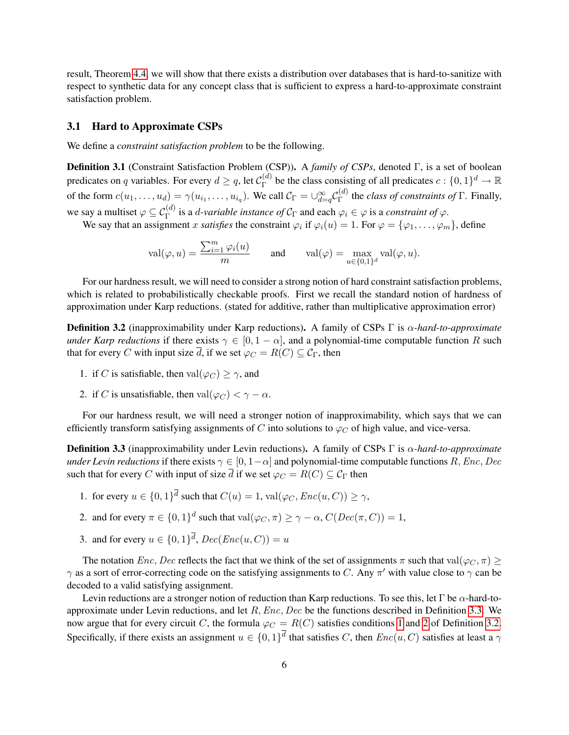result, Theorem [4.4,](#page-8-0) we will show that there exists a distribution over databases that is hard-to-sanitize with respect to synthetic data for any concept class that is sufficient to express a hard-to-approximate constraint satisfaction problem.

#### 3.1 Hard to Approximate CSPs

We define a *constraint satisfaction problem* to be the following.

<span id="page-6-4"></span>Definition 3.1 (Constraint Satisfaction Problem (CSP)). A *family of CSPs*, denoted Γ, is a set of boolean predicates on q variables. For every  $d \geq q$ , let  $\mathcal{C}_{\Gamma}^{(d)}$  $E_F^{(d)}$  be the class consisting of all predicates  $c: \{0,1\}^d \to \mathbb{R}^d$ of the form  $c(u_1, \ldots, u_d) = \gamma(u_{i_1}, \ldots, u_{i_q})$ . We call  $\mathcal{C}_{\Gamma} = \bigcup_{d=q}^{\infty} \mathcal{C}_{\Gamma}^{(d)}$  $T_{\Gamma}^{(a)}$  the *class of constraints of*  $\Gamma$ . Finally, we say a multiset  $\varphi \subseteq C_{\Gamma}^{(d)}$  is a *d-variable instance of*  $C_{\Gamma}$  and each  $\varphi_i \in \varphi$  is a *constraint of*  $\varphi$ .

We say that an assignment x *satisfies* the constraint  $\varphi_i$  if  $\varphi_i(u) = 1$ . For  $\varphi = {\varphi_1, \ldots, \varphi_m}$ , define

$$
\operatorname{val}(\varphi, u) = \frac{\sum_{i=1}^m \varphi_i(u)}{m} \quad \text{and} \quad \operatorname{val}(\varphi) = \max_{u \in \{0,1\}^d} \operatorname{val}(\varphi, u).
$$

For our hardness result, we will need to consider a strong notion of hard constraint satisfaction problems, which is related to probabilistically checkable proofs. First we recall the standard notion of hardness of approximation under Karp reductions. (stated for additive, rather than multiplicative approximation error)

<span id="page-6-3"></span>Definition 3.2 (inapproximability under Karp reductions). A family of CSPs Γ is α*-hard-to-approximate under Karp reductions* if there exists  $\gamma \in [0, 1 - \alpha]$ , and a polynomial-time computable function R such that for every C with input size  $\overline{d}$ , if we set  $\varphi_C = R(C) \subseteq C_\Gamma$ , then

- <span id="page-6-1"></span>1. if C is satisfiable, then  $val(\varphi_C) \geq \gamma$ , and
- <span id="page-6-2"></span>2. if C is unsatisfiable, then  $val(\varphi_C) < \gamma - \alpha$ .

For our hardness result, we will need a stronger notion of inapproximability, which says that we can efficiently transform satisfying assignments of C into solutions to  $\varphi_C$  of high value, and vice-versa.

<span id="page-6-0"></span>Definition 3.3 (inapproximability under Levin reductions). A family of CSPs Γ is α*-hard-to-approximate under Levin reductions* if there exists  $\gamma \in [0, 1-\alpha]$  and polynomial-time computable functions R, Enc, Dec such that for every C with input of size  $\overline{d}$  if we set  $\varphi_C = R(C) \subseteq C_\Gamma$  then

1. for every  $u \in \{0,1\}^d$  such that  $C(u) = 1$ ,  $val(\varphi_C, Enc(u, C)) \ge \gamma$ ,

2. and for every 
$$
\pi \in \{0,1\}^d
$$
 such that  $val(\varphi_C, \pi) \ge \gamma - \alpha$ ,  $C(Dec(\pi, C)) = 1$ ,

3. and for every  $u \in \{0,1\}^d$ ,  $Dec(Enc(u, C)) = u$ 

The notation  $Enc$ , Dec reflects the fact that we think of the set of assignments  $\pi$  such that val $(\varphi_C, \pi)$  $\gamma$  as a sort of error-correcting code on the satisfying assignments to C. Any  $\pi'$  with value close to  $\gamma$  can be decoded to a valid satisfying assignment.

Levin reductions are a stronger notion of reduction than Karp reductions. To see this, let Γ be  $\alpha$ -hard-toapproximate under Levin reductions, and let  $R, Enc, Dec$  be the functions described in Definition [3.3.](#page-6-0) We now argue that for every circuit C, the formula  $\varphi_C = R(C)$  satisfies conditions [1](#page-6-1) and [2](#page-6-2) of Definition [3.2.](#page-6-3) Specifically, if there exists an assignment  $u \in \{0,1\}^d$  that satisfies C, then  $Enc(u, C)$  satisfies at least a  $\gamma$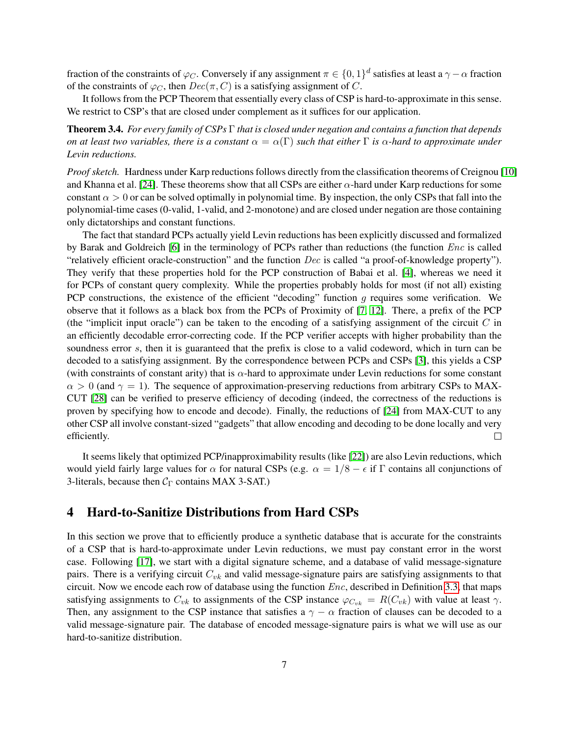fraction of the constraints of  $\varphi_C$ . Conversely if any assignment  $\pi \in \{0,1\}^d$  satisfies at least a  $\gamma - \alpha$  fraction of the constraints of  $\varphi_C$ , then  $Dec(\pi, C)$  is a satisfying assignment of C.

It follows from the PCP Theorem that essentially every class of CSP is hard-to-approximate in this sense. We restrict to CSP's that are closed under complement as it suffices for our application.

<span id="page-7-0"></span>Theorem 3.4. *For every family of CSPs* Γ *that is closed under negation and contains a function that depends on at least two variables, there is a constant*  $\alpha = \alpha(\Gamma)$  *such that either*  $\Gamma$  *is*  $\alpha$ *-hard to approximate under Levin reductions.*

*Proof sketch.* Hardness under Karp reductions follows directly from the classification theorems of Creignou [\[10\]](#page-11-9) and Khanna et al. [\[24\]](#page-12-11). These theorems show that all CSPs are either  $\alpha$ -hard under Karp reductions for some constant  $\alpha > 0$  or can be solved optimally in polynomial time. By inspection, the only CSPs that fall into the polynomial-time cases (0-valid, 1-valid, and 2-monotone) and are closed under negation are those containing only dictatorships and constant functions.

The fact that standard PCPs actually yield Levin reductions has been explicitly discussed and formalized by Barak and Goldreich [\[6\]](#page-11-7) in the terminology of PCPs rather than reductions (the function Enc is called "relatively efficient oracle-construction" and the function Dec is called "a proof-of-knowledge property"). They verify that these properties hold for the PCP construction of Babai et al. [\[4\]](#page-11-10), whereas we need it for PCPs of constant query complexity. While the properties probably holds for most (if not all) existing PCP constructions, the existence of the efficient "decoding" function  $q$  requires some verification. We observe that it follows as a black box from the PCPs of Proximity of [\[7,](#page-11-11) [12\]](#page-11-12). There, a prefix of the PCP (the "implicit input oracle") can be taken to the encoding of a satisfying assignment of the circuit  $C$  in an efficiently decodable error-correcting code. If the PCP verifier accepts with higher probability than the soundness error s, then it is guaranteed that the prefix is close to a valid codeword, which in turn can be decoded to a satisfying assignment. By the correspondence between PCPs and CSPs [\[3\]](#page-11-13), this yields a CSP (with constraints of constant arity) that is  $\alpha$ -hard to approximate under Levin reductions for some constant  $\alpha > 0$  (and  $\gamma = 1$ ). The sequence of approximation-preserving reductions from arbitrary CSPs to MAX-CUT [\[28\]](#page-12-12) can be verified to preserve efficiency of decoding (indeed, the correctness of the reductions is proven by specifying how to encode and decode). Finally, the reductions of [\[24\]](#page-12-11) from MAX-CUT to any other CSP all involve constant-sized "gadgets" that allow encoding and decoding to be done locally and very efficiently.  $\Box$ 

It seems likely that optimized PCP/inapproximability results (like [\[22\]](#page-12-13)) are also Levin reductions, which would yield fairly large values for  $\alpha$  for natural CSPs (e.g.  $\alpha = 1/8 - \epsilon$  if  $\Gamma$  contains all conjunctions of 3-literals, because then  $C_{\Gamma}$  contains MAX 3-SAT.)

# 4 Hard-to-Sanitize Distributions from Hard CSPs

In this section we prove that to efficiently produce a synthetic database that is accurate for the constraints of a CSP that is hard-to-approximate under Levin reductions, we must pay constant error in the worst case. Following [\[17\]](#page-12-5), we start with a digital signature scheme, and a database of valid message-signature pairs. There is a verifying circuit  $C_{vk}$  and valid message-signature pairs are satisfying assignments to that circuit. Now we encode each row of database using the function  $Enc$ , described in Definition [3.3,](#page-6-0) that maps satisfying assignments to  $C_{vk}$  to assignments of the CSP instance  $\varphi_{C_{vk}} = R(C_{vk})$  with value at least  $\gamma$ . Then, any assignment to the CSP instance that satisfies a  $\gamma - \alpha$  fraction of clauses can be decoded to a valid message-signature pair. The database of encoded message-signature pairs is what we will use as our hard-to-sanitize distribution.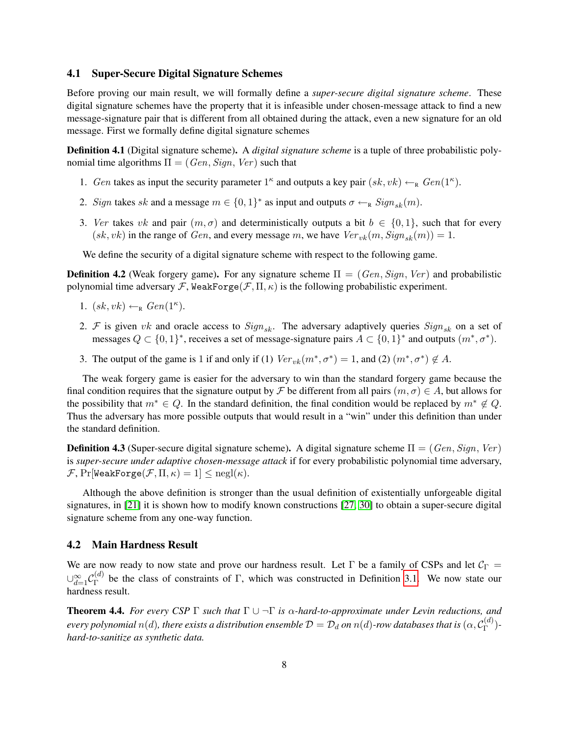#### 4.1 Super-Secure Digital Signature Schemes

Before proving our main result, we will formally define a *super-secure digital signature scheme*. These digital signature schemes have the property that it is infeasible under chosen-message attack to find a new message-signature pair that is different from all obtained during the attack, even a new signature for an old message. First we formally define digital signature schemes

Definition 4.1 (Digital signature scheme). A *digital signature scheme* is a tuple of three probabilistic polynomial time algorithms  $\Pi = (Gen, Sign, Ver)$  such that

- 1. Gen takes as input the security parameter  $1^{\kappa}$  and outputs a key pair  $(sk, vk) \leftarrow_R Gen(1^{\kappa})$ .
- 2. Sign takes sk and a message  $m \in \{0, 1\}^*$  as input and outputs  $\sigma \leftarrow_R Sign_{sk}(m)$ .
- 3. Ver takes vk and pair  $(m, \sigma)$  and deterministically outputs a bit  $b \in \{0, 1\}$ , such that for every  $(sk, vk)$  in the range of *Gen*, and every message m, we have  $Ver_{vk}(m, Sign_{sk}(m)) = 1$ .

We define the security of a digital signature scheme with respect to the following game.

**Definition 4.2** (Weak forgery game). For any signature scheme  $\Pi = (Gen, Sign, Ver)$  and probabilistic polynomial time adversary F, WeakForge(F,  $\Pi$ ,  $\kappa$ ) is the following probabilistic experiment.

- 1.  $(sk, vk) \leftarrow_R Gen(1^{\kappa}).$
- 2. F is given vk and oracle access to  $Sign_{sk}$ . The adversary adaptively queries  $Sign_{sk}$  on a set of messages  $Q \subset \{0,1\}^*$ , receives a set of message-signature pairs  $A \subset \{0,1\}^*$  and outputs  $(m^*, \sigma^*)$ .
- 3. The output of the game is 1 if and only if (1)  $Ver_{vk}(m^*, \sigma^*) = 1$ , and (2)  $(m^*, \sigma^*) \notin A$ .

The weak forgery game is easier for the adversary to win than the standard forgery game because the final condition requires that the signature output by F be different from all pairs  $(m, \sigma) \in A$ , but allows for the possibility that  $m^* \in Q$ . In the standard definition, the final condition would be replaced by  $m^* \notin Q$ . Thus the adversary has more possible outputs that would result in a "win" under this definition than under the standard definition.

**Definition 4.3** (Super-secure digital signature scheme). A digital signature scheme  $\Pi = (Gen, Sign, Ver)$ is *super-secure under adaptive chosen-message attack* if for every probabilistic polynomial time adversary,  $\mathcal{F}, \Pr[\texttt{WeakForge}(\mathcal{F}, \Pi, \kappa) = 1] \leq \text{negl}(\kappa).$ 

Although the above definition is stronger than the usual definition of existentially unforgeable digital signatures, in [\[21\]](#page-12-14) it is shown how to modify known constructions [\[27,](#page-12-15) [30\]](#page-12-16) to obtain a super-secure digital signature scheme from any one-way function.

#### 4.2 Main Hardness Result

We are now ready to now state and prove our hardness result. Let  $\Gamma$  be a family of CSPs and let  $C_{\Gamma}$  =  $\cup_{d=1}^{\infty}\mathcal{C}_{\Gamma}^{(d)}$  $\Gamma$ <sup>(*a*)</sup> be the class of constraints of Γ, which was constructed in Definition [3.1.](#page-6-4) We now state our hardness result.

<span id="page-8-0"></span>**Theorem 4.4.** *For every CSP*  $\Gamma$  *such that*  $\Gamma \cup \neg \Gamma$  *is*  $\alpha$ *-hard-to-approximate under Levin reductions, and*  $e$ very polynomial  $n(d)$ , there exists a distribution ensemble  $\mathcal{D}=\mathcal{D}_d$  on  $n(d)$ -row databases that is  $(\alpha,\mathcal{C}_{\Gamma}^{(d)})$ Γ ) *hard-to-sanitize as synthetic data.*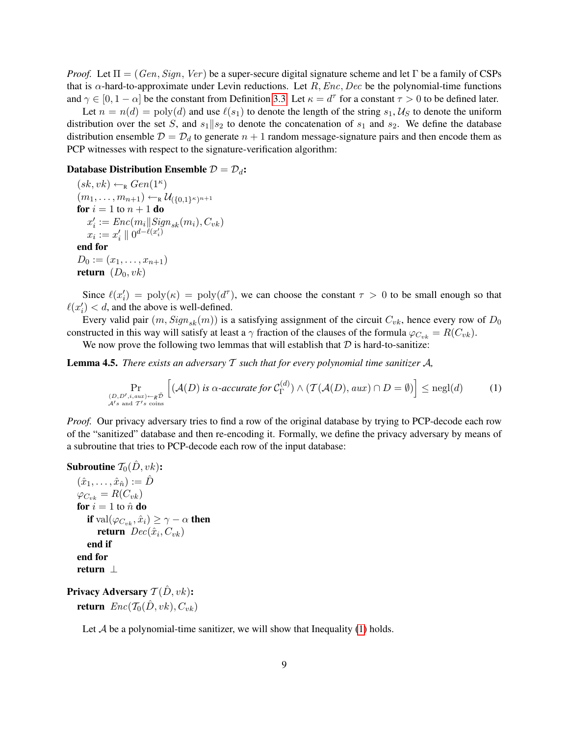*Proof.* Let  $\Pi = (Gen, Sign, Ver)$  be a super-secure digital signature scheme and let Γ be a family of CSPs that is  $\alpha$ -hard-to-approximate under Levin reductions. Let R, Enc, Dec be the polynomial-time functions and  $\gamma \in [0, 1-\alpha]$  be the constant from Definition [3.3.](#page-6-0) Let  $\kappa = d^{\tau}$  for a constant  $\tau > 0$  to be defined later.

Let  $n = n(d) = \text{poly}(d)$  and use  $\ell(s_1)$  to denote the length of the string  $s_1, \mathcal{U}_S$  to denote the uniform distribution over the set S, and  $s_1||s_2$  to denote the concatenation of  $s_1$  and  $s_2$ . We define the database distribution ensemble  $\mathcal{D} = \mathcal{D}_d$  to generate  $n + 1$  random message-signature pairs and then encode them as PCP witnesses with respect to the signature-verification algorithm:

#### Database Distribution Ensemble  $\mathcal{D} = \mathcal{D}_d$ :

 $(sk, vk) \leftarrow_R Gen(1^{\kappa})$  $(m_1,\ldots,m_{n+1})\leftarrow_{\text{\tiny R}} \mathcal{U}_{(\{0,1\}^\kappa)^{n+1}}$ for  $i=1$  to  $n+1$  do  $x'_i := Enc(m_i || Sign_{sk}(m_i), C_{vk})$  $x_i := x_i' \parallel 0^{d - \ell(x_i')}$ end for  $D_0 := (x_1, \ldots, x_{n+1})$ return  $(D_0, vk)$ 

Since  $\ell(x_i') = \text{poly}(\kappa) = \text{poly}(d^{\tau})$ , we can choose the constant  $\tau > 0$  to be small enough so that  $\ell(x'_i) < d$ , and the above is well-defined.

Every valid pair  $(m, Sign_{sk}(m))$  is a satisfying assignment of the circuit  $C_{vk}$ , hence every row of  $D_0$ constructed in this way will satisfy at least a  $\gamma$  fraction of the clauses of the formula  $\varphi_{C_{v,k}} = R(C_{vk})$ .

We now prove the following two lemmas that will establish that  $D$  is hard-to-sanitize:

Lemma 4.5. *There exists an adversary* T *such that for every polynomial time sanitizer* A*,*

<span id="page-9-0"></span>
$$
\Pr_{\substack{(D, D', i, aux) \leftarrow_R \tilde{\mathcal{D}} \\ \mathcal{A}'s \text{ and } T's \text{ coins}}} \left[ (\mathcal{A}(D) \text{ is } \alpha \text{-accurate for } \mathcal{C}_{\Gamma}^{(d)}) \land (\mathcal{T}(\mathcal{A}(D), aux) \cap D = \emptyset) \right] \le \text{negl}(d) \tag{1}
$$

*Proof.* Our privacy adversary tries to find a row of the original database by trying to PCP-decode each row of the "sanitized" database and then re-encoding it. Formally, we define the privacy adversary by means of a subroutine that tries to PCP-decode each row of the input database:

```
Subroutine \mathcal{T}_0(\hat{D}, v_k):
```

```
(\hat{x}_1, \ldots, \hat{x}_{\hat{n}}) := \hat{D}\varphi_{C_{vk}} = R(C_{vk})for i = 1 to \hat{n} do
    if \operatorname{val}(\varphi_{C_{vk}}, \hat{x}_i) \ge \gamma - \alpha then
         return Dec(\hat{x}_i, C_{vk})end if
end for
return ⊥
```

```
Privacy Adversary \mathcal{T}(\hat{D}, v k):
   return Enc(\mathcal{T}_0(\hat{D}, vk), C_{vk})
```
Let  $A$  be a polynomial-time sanitizer, we will show that Inequality [\(1\)](#page-9-0) holds.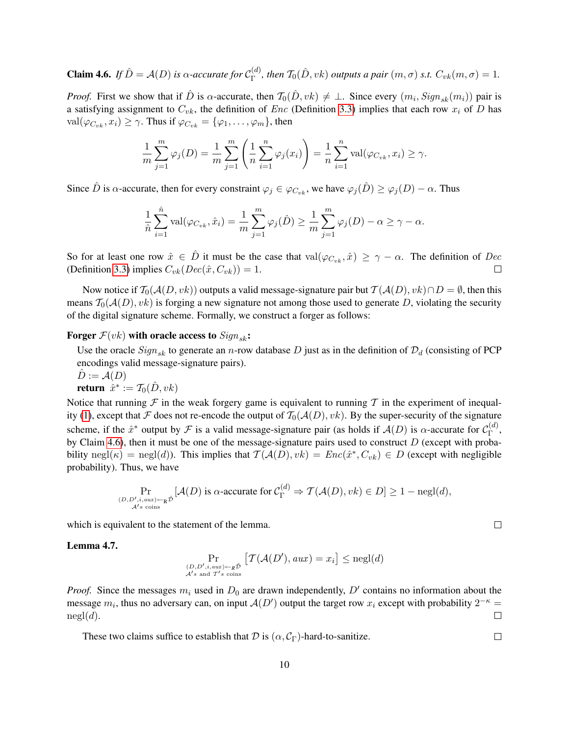<span id="page-10-0"></span>**Claim 4.6.** *If*  $\hat{D} = A(D)$  *is*  $\alpha$ *-accurate for*  $C_{\Gamma}^{(d)}$  $T_{\Gamma}^{(d)}$ , then  $\mathcal{T}_0(\hat{D}, v k)$  outputs a pair  $(m, \sigma)$  s.t.  $C_{vk}(m, \sigma) = 1$ .

*Proof.* First we show that if  $\hat{D}$  is  $\alpha$ -accurate, then  $\mathcal{T}_0(\hat{D}, vk) \neq \bot$ . Since every  $(m_i, Sign_{sk}(m_i))$  pair is a satisfying assignment to  $C_{vk}$ , the definition of *Enc* (Definition [3.3\)](#page-6-0) implies that each row  $x_i$  of *D* has  $val(\varphi_{C_{nk}}, x_i) \geq \gamma$ . Thus if  $\varphi_{C_{nk}} = {\varphi_1, \ldots, \varphi_m}$ , then

$$
\frac{1}{m}\sum_{j=1}^m\varphi_j(D) = \frac{1}{m}\sum_{j=1}^m\left(\frac{1}{n}\sum_{i=1}^n\varphi_j(x_i)\right) = \frac{1}{n}\sum_{i=1}^n\text{val}(\varphi_{C_{vk}}, x_i) \ge \gamma.
$$

Since  $\hat{D}$  is  $\alpha$ -accurate, then for every constraint  $\varphi_j \in \varphi_{C_{vk}}$ , we have  $\varphi_j(\hat{D}) \geq \varphi_j(D) - \alpha$ . Thus

$$
\frac{1}{\hat{n}}\sum_{i=1}^{\hat{n}} \text{val}(\varphi_{C_{vk}}, \hat{x}_i) = \frac{1}{m}\sum_{j=1}^m \varphi_j(\hat{D}) \ge \frac{1}{m}\sum_{j=1}^m \varphi_j(D) - \alpha \ge \gamma - \alpha.
$$

So for at least one row  $\hat{x} \in \hat{D}$  it must be the case that val $(\varphi_{C_{nk}}, \hat{x}) \geq \gamma - \alpha$ . The definition of Dec (Definition [3.3\)](#page-6-0) implies  $C_{vk}(Dec(\hat{x}, C_{vk})) = 1$ .  $\Box$ 

Now notice if  $T_0(A(D, vk))$  outputs a valid message-signature pair but  $T(A(D), vk) \cap D = \emptyset$ , then this means  $T_0(A(D), vk)$  is forging a new signature not among those used to generate D, violating the security of the digital signature scheme. Formally, we construct a forger as follows:

Forger  $F(vk)$  with oracle access to  $Sign_{sk}$ :

Use the oracle  $Sign_{sk}$  to generate an n-row database D just as in the definition of  $\mathcal{D}_d$  (consisting of PCP encodings valid message-signature pairs).

 $\ddot{D} := \mathcal{A}(D)$ return  $\hat{x}^* := \mathcal{T}_0(\hat{D}, v k)$ 

Notice that running  $\mathcal F$  in the weak forgery game is equivalent to running  $\mathcal T$  in the experiment of inequal-ity [\(1\)](#page-9-0), except that F does not re-encode the output of  $T_0(A(D), vk)$ . By the super-security of the signature scheme, if the  $\hat{x}^*$  output by F is a valid message-signature pair (as holds if  $\mathcal{A}(D)$  is  $\alpha$ -accurate for  $\mathcal{C}_{\Gamma}^{(d)}$  $\mathop{\Gamma}\limits^{(a)},$ by Claim [4.6\)](#page-10-0), then it must be one of the message-signature pairs used to construct  $D$  (except with probability negl $(\kappa)$  = negl $(d)$ ). This implies that  $\mathcal{T}(\mathcal{A}(D), vk) = Enc(\hat{x}^*, C_{vk}) \in D$  (except with negligible probability). Thus, we have

$$
\Pr_{(D, D', i, aux) \leftarrow_R \tilde{\mathcal{D}}} [\mathcal{A}(D) \text{ is } \alpha\text{-accurate for } \mathcal{C}_{\Gamma}^{(d)} \Rightarrow \mathcal{T}(\mathcal{A}(D), vk) \in D] \ge 1 - \text{negl}(d),
$$

which is equivalent to the statement of the lemma.

Lemma 4.7.

$$
\Pr_{(D, D', i, aux) \leftarrow_R \tilde{\mathcal{D}}} \left[ \mathcal{T}(\mathcal{A}(D'), aux) = x_i \right] \le \text{negl}(d)
$$
  
 $\mathcal{A'}_{s \text{ and } T's \text{ coins}}$ 

*Proof.* Since the messages  $m_i$  used in  $D_0$  are drawn independently,  $D'$  contains no information about the message  $m_i$ , thus no adversary can, on input  $\mathcal{A}(D')$  output the target row  $x_i$  except with probability  $2^{-\kappa}$  =  $negl(d)$ .  $\Box$ 

These two claims suffice to establish that  $\mathcal D$  is  $(\alpha, \mathcal C_{\Gamma})$ -hard-to-sanitize.

 $\Box$ 

 $\Box$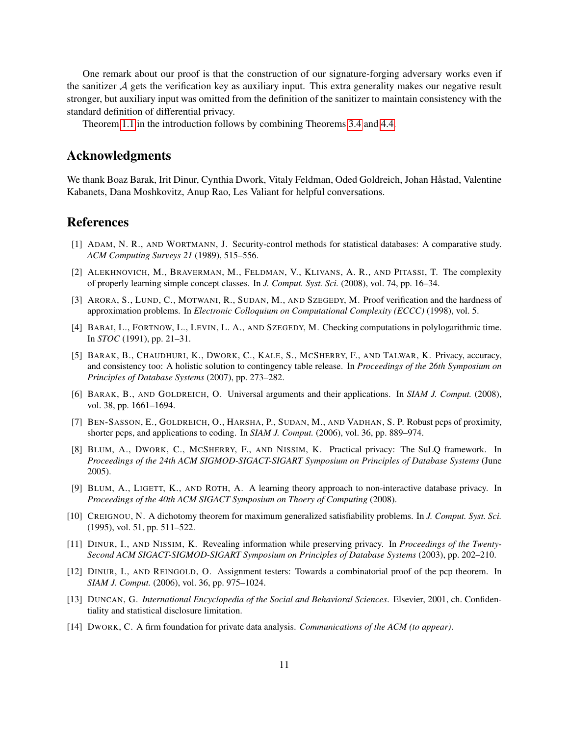One remark about our proof is that the construction of our signature-forging adversary works even if the sanitizer A gets the verification key as auxiliary input. This extra generality makes our negative result stronger, but auxiliary input was omitted from the definition of the sanitizer to maintain consistency with the standard definition of differential privacy.

Theorem [1.1](#page-2-1) in the introduction follows by combining Theorems [3.4](#page-7-0) and [4.4.](#page-8-0)

### Acknowledgments

We thank Boaz Barak, Irit Dinur, Cynthia Dwork, Vitaly Feldman, Oded Goldreich, Johan Håstad, Valentine Kabanets, Dana Moshkovitz, Anup Rao, Les Valiant for helpful conversations.

### References

- <span id="page-11-0"></span>[1] ADAM, N. R., AND WORTMANN, J. Security-control methods for statistical databases: A comparative study. *ACM Computing Surveys 21* (1989), 515–556.
- <span id="page-11-8"></span>[2] ALEKHNOVICH, M., BRAVERMAN, M., FELDMAN, V., KLIVANS, A. R., AND PITASSI, T. The complexity of properly learning simple concept classes. In *J. Comput. Syst. Sci.* (2008), vol. 74, pp. 16–34.
- <span id="page-11-13"></span>[3] ARORA, S., LUND, C., MOTWANI, R., SUDAN, M., AND SZEGEDY, M. Proof verification and the hardness of approximation problems. In *Electronic Colloquium on Computational Complexity (ECCC)* (1998), vol. 5.
- <span id="page-11-10"></span>[4] BABAI, L., FORTNOW, L., LEVIN, L. A., AND SZEGEDY, M. Checking computations in polylogarithmic time. In *STOC* (1991), pp. 21–31.
- <span id="page-11-5"></span>[5] BARAK, B., CHAUDHURI, K., DWORK, C., KALE, S., MCSHERRY, F., AND TALWAR, K. Privacy, accuracy, and consistency too: A holistic solution to contingency table release. In *Proceedings of the 26th Symposium on Principles of Database Systems* (2007), pp. 273–282.
- <span id="page-11-7"></span>[6] BARAK, B., AND GOLDREICH, O. Universal arguments and their applications. In *SIAM J. Comput.* (2008), vol. 38, pp. 1661–1694.
- <span id="page-11-11"></span>[7] BEN-SASSON, E., GOLDREICH, O., HARSHA, P., SUDAN, M., AND VADHAN, S. P. Robust pcps of proximity, shorter pcps, and applications to coding. In *SIAM J. Comput.* (2006), vol. 36, pp. 889–974.
- <span id="page-11-3"></span>[8] BLUM, A., DWORK, C., MCSHERRY, F., AND NISSIM, K. Practical privacy: The SuLQ framework. In *Proceedings of the 24th ACM SIGMOD-SIGACT-SIGART Symposium on Principles of Database Systems* (June 2005).
- <span id="page-11-6"></span>[9] BLUM, A., LIGETT, K., AND ROTH, A. A learning theory approach to non-interactive database privacy. In *Proceedings of the 40th ACM SIGACT Symposium on Thoery of Computing* (2008).
- <span id="page-11-9"></span>[10] CREIGNOU, N. A dichotomy theorem for maximum generalized satisfiability problems. In *J. Comput. Syst. Sci.* (1995), vol. 51, pp. 511–522.
- <span id="page-11-4"></span>[11] DINUR, I., AND NISSIM, K. Revealing information while preserving privacy. In *Proceedings of the Twenty-Second ACM SIGACT-SIGMOD-SIGART Symposium on Principles of Database Systems* (2003), pp. 202–210.
- <span id="page-11-12"></span>[12] DINUR, I., AND REINGOLD, O. Assignment testers: Towards a combinatorial proof of the pcp theorem. In *SIAM J. Comput.* (2006), vol. 36, pp. 975–1024.
- <span id="page-11-1"></span>[13] DUNCAN, G. *International Encyclopedia of the Social and Behavioral Sciences*. Elsevier, 2001, ch. Confidentiality and statistical disclosure limitation.
- <span id="page-11-2"></span>[14] DWORK, C. A firm foundation for private data analysis. *Communications of the ACM (to appear)*.